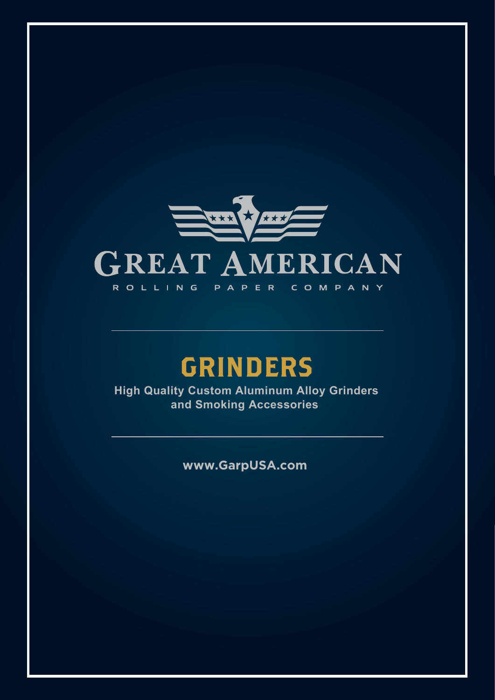

## GRINDERS

**High Quality Custom Aluminum Alloy Grinders and Smoking Accessories** 

**www.GarpUSA.com**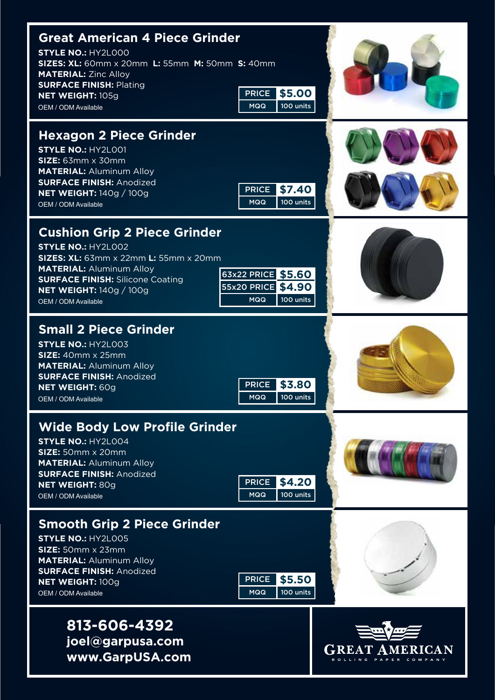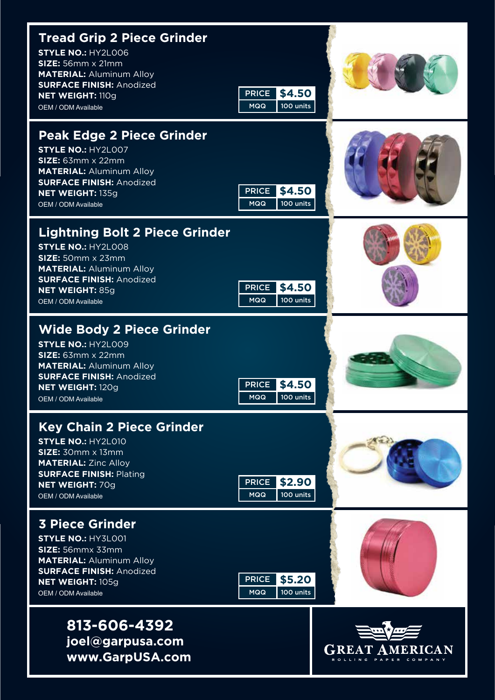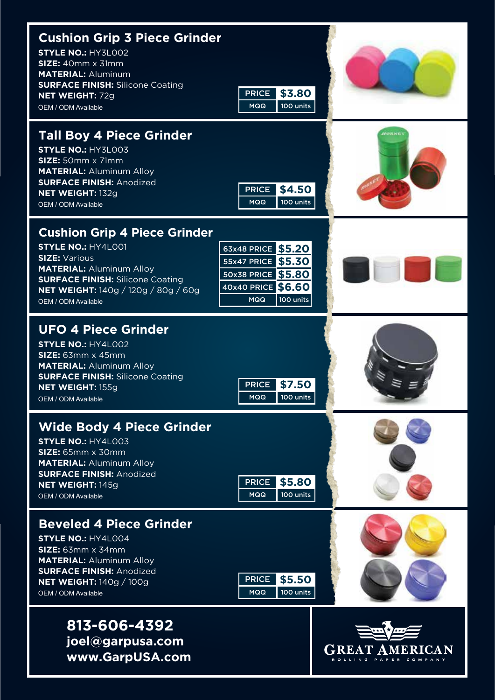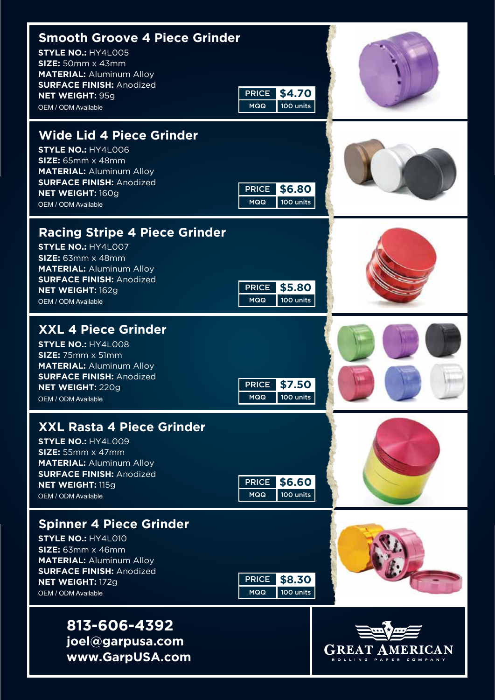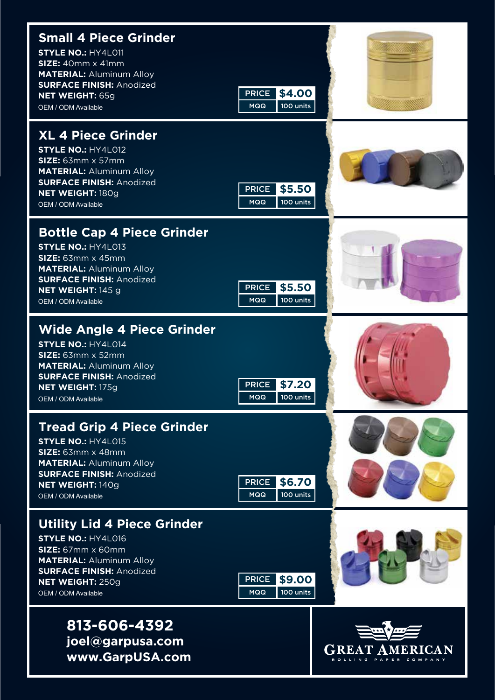| <b>Small 4 Piece Grinder</b><br><b>STYLE NO.: HY4L011</b><br>$SIZE: 40mm \times 41mm$<br><b>MATERIAL: Aluminum Alloy</b><br><b>SURFACE FINISH: Anodized</b><br>NET WEIGHT: 65g<br>OEM / ODM Available        | \$4.00<br>PRICE<br>100 units<br><b>MQQ</b>        |                   |
|--------------------------------------------------------------------------------------------------------------------------------------------------------------------------------------------------------------|---------------------------------------------------|-------------------|
| <b>XL 4 Piece Grinder</b><br><b>STYLE NO.: HY4L012</b><br>$SIZE: 63mm \times 57mm$<br><b>MATERIAL: Aluminum Alloy</b><br><b>SURFACE FINISH: Anodized</b><br>NET WEIGHT: 180g<br>OEM / ODM Available          | <b>PRICE</b><br>\$5.50<br>100 units<br><b>MQQ</b> |                   |
| <b>Bottle Cap 4 Piece Grinder</b><br><b>STYLE NO.: HY4L013</b><br>SIZE: 63mm x 45mm<br><b>MATERIAL: Aluminum Alloy</b><br><b>SURFACE FINISH: Anodized</b><br>NET WEIGHT: 145 g<br>OEM / ODM Available        | \$5.50<br><b>PRICE</b><br>100 units<br><b>MQQ</b> |                   |
| <b>Wide Angle 4 Piece Grinder</b><br><b>STYLE NO.: HY4L014</b><br>$SIZE: 63mm \times 52mm$<br><b>MATERIAL: Aluminum Alloy</b><br><b>SURFACE FINISH: Anodized</b><br>NET WEIGHT: 175g<br>OEM / ODM Available  | <b>PRICE</b><br>\$7.20<br>100 units<br><b>MQQ</b> |                   |
| <b>Tread Grip 4 Piece Grinder</b><br><b>STYLE NO.: HY4L015</b><br>SIZE: 63mm x 48mm<br><b>MATERIAL: Aluminum Alloy</b><br><b>SURFACE FINISH: Anodized</b><br>NET WEIGHT: 140g<br>OEM / ODM Available         | <b>PRICE</b><br>\$6.70<br>100 units<br><b>MQQ</b> |                   |
| <b>Utility Lid 4 Piece Grinder</b><br><b>STYLE NO.: HY4L016</b><br>SIZE: 67mm x 60mm<br><b>MATERIAL: Aluminum Alloy</b><br><b>SURFACE FINISH: Anodized</b><br><b>NET WEIGHT: 250g</b><br>OEM / ODM Available | \$9.00<br>PRICE  <br>100 units<br><b>MQQ</b>      |                   |
| 813-606-4392<br>joel@garpusa.com<br>www.GarpUSA.com                                                                                                                                                          |                                                   | <b>GREAT AMER</b> |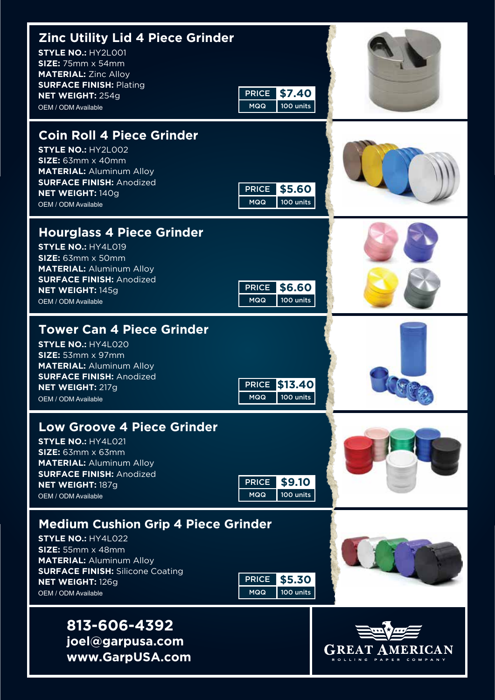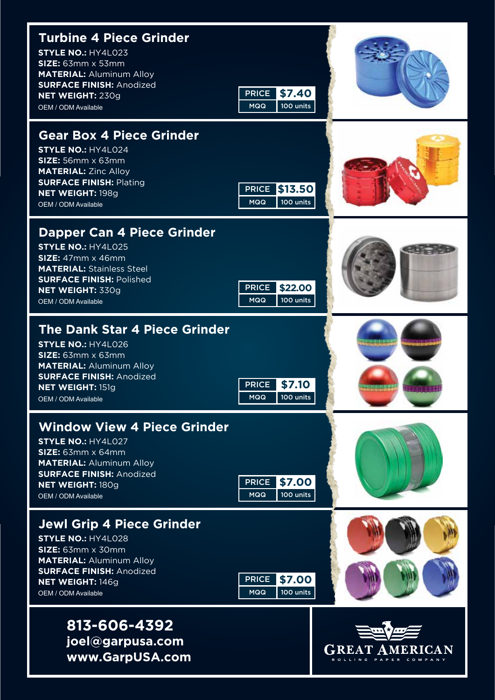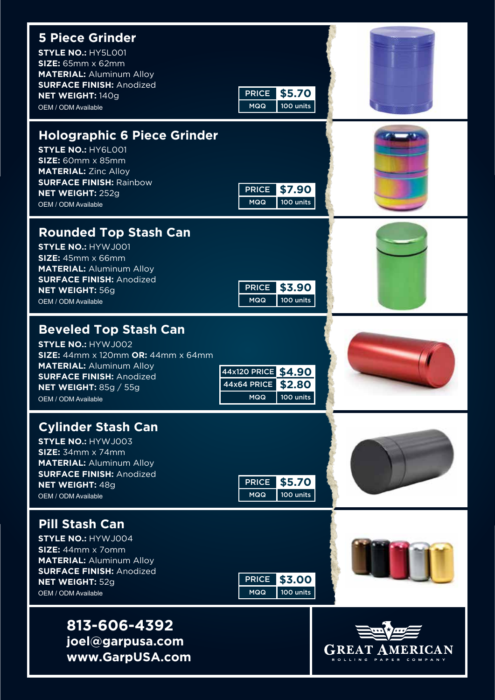